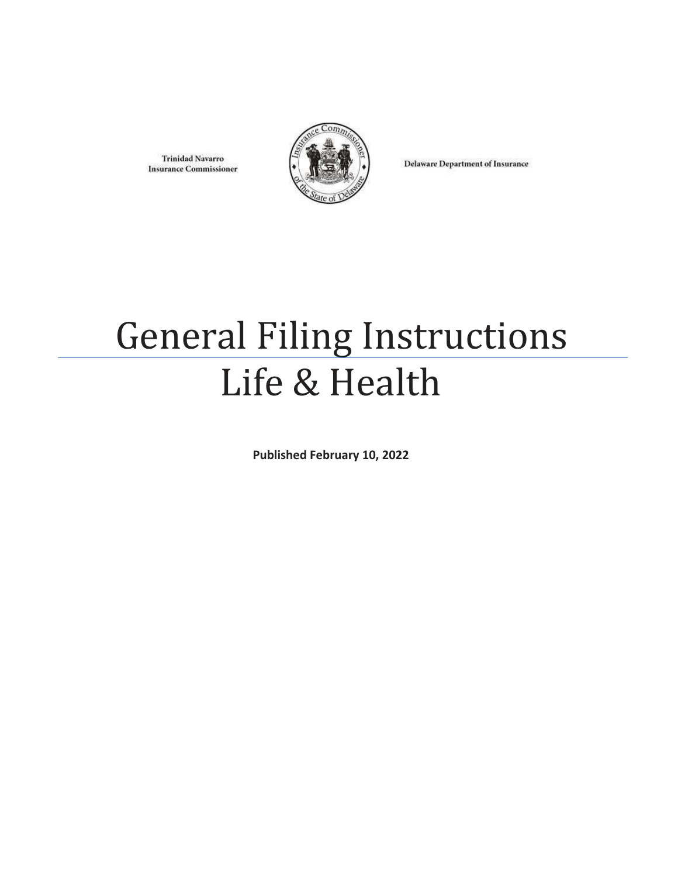**Trinidad Navarro Insurance Commissioner** 



**Delaware Department of Insurance** 

# General Filing Instructions Life & Health

**Published February 10, 2022**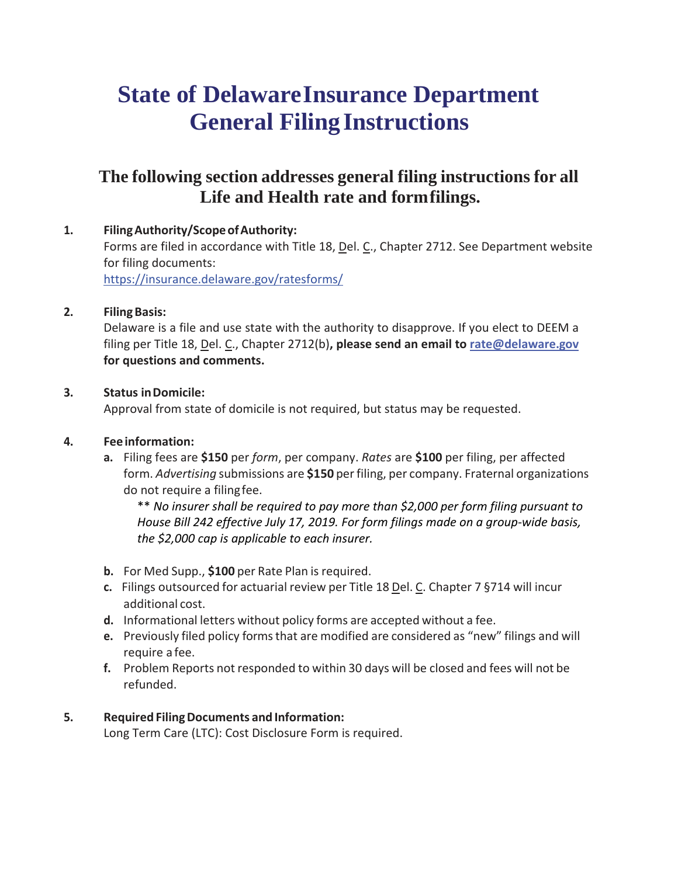### **State of DelawareInsurance Department General FilingInstructions**

### **The following section addresses general filing instructions for all Life and Health rate and formfilings.**

**1. FilingAuthority/ScopeofAuthority:** Forms are filed in accordance with Title 18, Del. C., Chapter 2712. See Department website for filing documents: <https://insurance.delaware.gov/ratesforms/>

#### **2. FilingBasis:**

Delaware is a file and use state with the authority to disapprove. If you elect to DEEM a filing per Title 18, Del. C., Chapter 2712(b)**, please send an email to [rate@delaware.gov](mailto:rate@delaware.gov) for questions and comments.**

#### **3. Status inDomicile:**

Approval from state of domicile is not required, but status may be requested.

#### **4. Feeinformation:**

**a.** Filing fees are **\$150** per *form*, per company. *Rates* are **\$100** per filing, per affected form. *Advertising* submissions are **\$150** per filing, per company. Fraternal organizations do not require a filingfee.

\*\* *No insurer shall be required to pay more than \$2,000 per form filing pursuant to House Bill 242 effective July 17, 2019. For form filings made on a group-wide basis, the \$2,000 cap is applicable to each insurer.*

- **b.** For Med Supp., **\$100** per Rate Plan is required.
- **c.** Filings outsourced for actuarial review per Title 18 Del. C. Chapter 7 §714 will incur additional cost.
- **d.** Informational letters without policy forms are accepted without a fee.
- **e.** Previously filed policy forms that are modified are considered as "new" filings and will require a fee.
- **f.** Problem Reports not responded to within 30 days will be closed and fees will not be refunded.

#### **5. Required FilingDocuments and Information:**

Long Term Care (LTC): Cost Disclosure Form is required.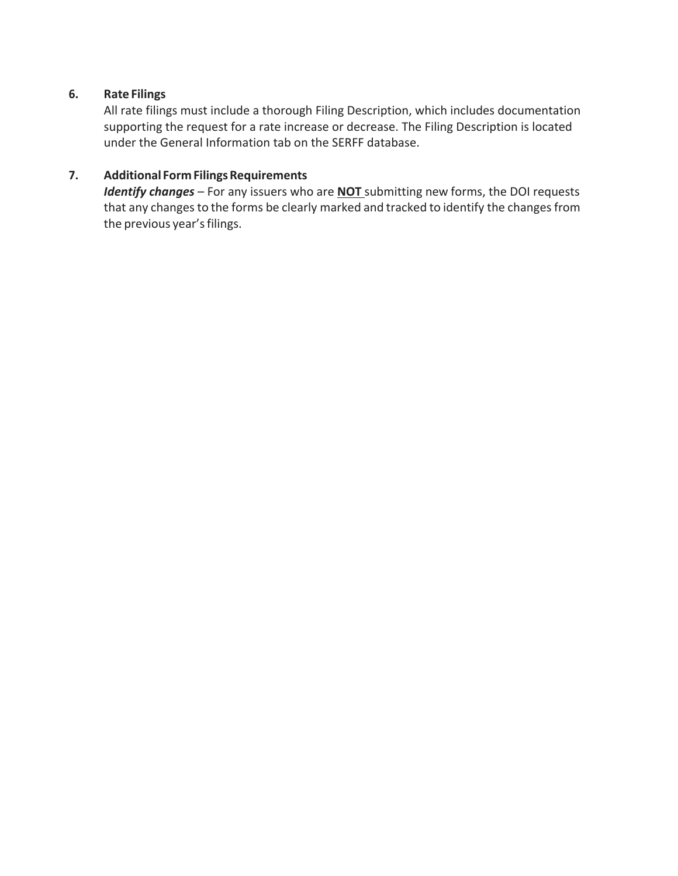#### **6. Rate Filings**

All rate filings must include a thorough Filing Description, which includes documentation supporting the request for a rate increase or decrease. The Filing Description is located under the General Information tab on the SERFF database.

#### **7. Additional FormFilingsRequirements**

*Identify changes* – For any issuers who are **NOT** submitting new forms, the DOI requests that any changes to the forms be clearly marked and tracked to identify the changes from the previous year's filings.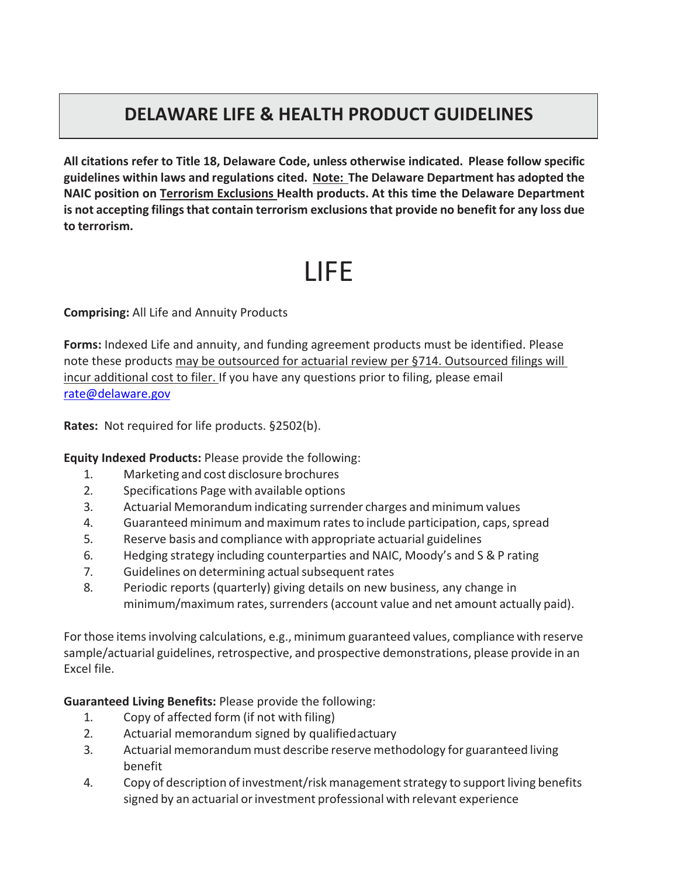### **DELAWARE LIFE & HEALTH PRODUCT GUIDELINES**

**All citations refer to Title 18, Delaware Code, unless otherwise indicated. Please follow specific guidelines within laws and regulations cited. Note: The Delaware Department has adopted the NAIC position on Terrorism Exclusions Health products. At this time the Delaware Department is not accepting filingsthat contain terrorism exclusionsthat provide no benefit for any loss due to terrorism.**

## LIFE

**Comprising:** All Life and Annuity Products

**Forms:** Indexed Life and annuity, and funding agreement products must be identified. Please note these products may be outsourced for actuarial review per §714. Outsourced filings will incur additional cost to filer. If you have any questions prior to filing, please email [rate@delaware.gov](mailto:rate@delaware.gov)

**Rates:** Not required for life products. §2502(b).

**Equity Indexed Products:** Please provide the following:

- 1. Marketing and cost disclosure brochures
- 2. Specifications Page with available options
- 3. Actuarial Memorandum indicating surrender charges and minimum values
- 4. Guaranteed minimum and maximum rates to include participation, caps, spread
- 5. Reserve basis and compliance with appropriate actuarial guidelines
- 6. Hedging strategy including counterparties and NAIC, Moody's and S & P rating
- 7. Guidelines on determining actual subsequent rates
- 8. Periodic reports (quarterly) giving details on new business, any change in minimum/maximum rates, surrenders (account value and net amount actually paid).

For those itemsinvolving calculations, e.g., minimum guaranteed values, compliance with reserve sample/actuarial guidelines, retrospective, and prospective demonstrations, please provide in an Excel file.

**Guaranteed Living Benefits:** Please provide the following:

- 1. Copy of affected form (if not with filing)
- 2. Actuarial memorandum signed by qualifiedactuary
- 3. Actuarial memorandum must describe reserve methodology for guaranteed living benefit
- 4. Copy of description of investment/risk management strategy to support living benefits signed by an actuarial or investment professional with relevant experience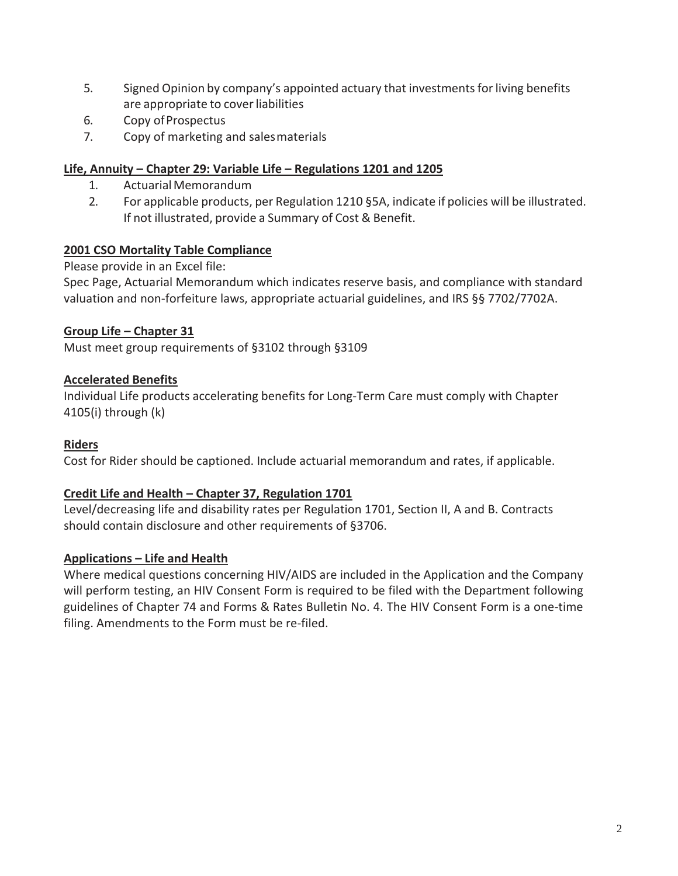- 5. Signed Opinion by company's appointed actuary that investmentsforliving benefits are appropriate to cover liabilities
- 6. Copy ofProspectus
- 7. Copy of marketing and salesmaterials

#### **Life, Annuity – Chapter 29: Variable Life – Regulations 1201 and 1205**

- 1. ActuarialMemorandum
- 2. For applicable products, per Regulation 1210 §5A, indicate if policies will be illustrated. If not illustrated, provide a Summary of Cost & Benefit.

#### **2001 CSO Mortality Table Compliance**

Please provide in an Excel file:

Spec Page, Actuarial Memorandum which indicates reserve basis, and compliance with standard valuation and non-forfeiture laws, appropriate actuarial guidelines, and IRS §§ 7702/7702A.

#### **Group Life – Chapter 31**

Must meet group requirements of §3102 through §3109

#### **Accelerated Benefits**

Individual Life products accelerating benefits for Long-Term Care must comply with Chapter 4105(i) through (k)

#### **Riders**

Cost for Rider should be captioned. Include actuarial memorandum and rates, if applicable.

#### **Credit Life and Health – Chapter 37, Regulation 1701**

Level/decreasing life and disability rates per Regulation 1701, Section II, A and B. Contracts should contain disclosure and other requirements of §3706.

#### **Applications – Life and Health**

Where medical questions concerning HIV/AIDS are included in the Application and the Company will perform testing, an HIV Consent Form is required to be filed with the Department following guidelines of Chapter 74 and Forms & Rates Bulletin No. 4. The HIV Consent Form is a one-time filing. Amendments to the Form must be re-filed.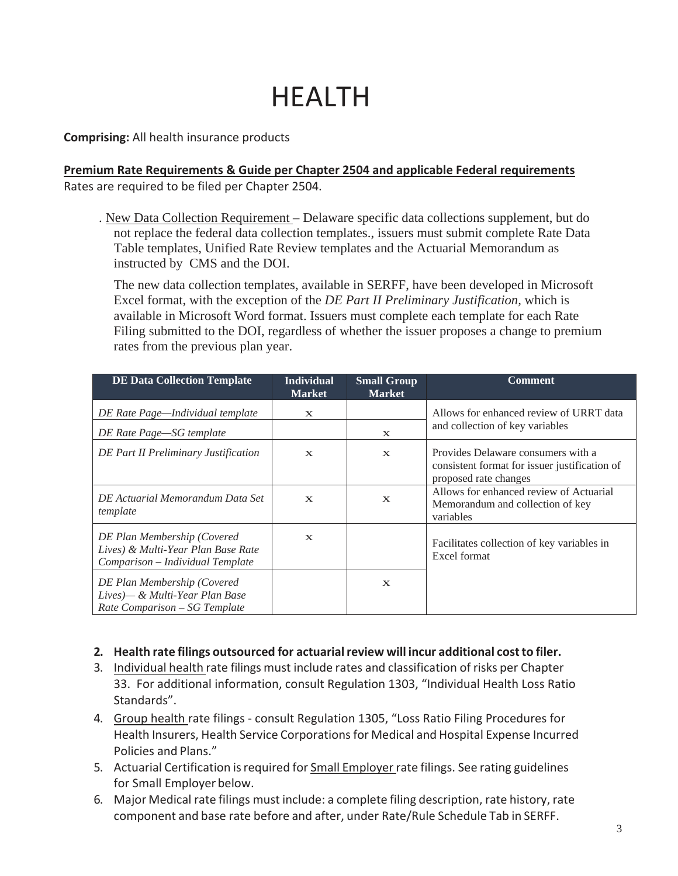# HEALTH

**Comprising:** All health insurance products

**Premium Rate Requirements & Guide per Chapter 2504 and applicable Federal requirements** Rates are required to be filed per Chapter 2504.

. New Data Collection Requirement – Delaware specific data collections supplement, but do not replace the federal data collection templates., issuers must submit complete Rate Data Table templates, Unified Rate Review templates and the Actuarial Memorandum as instructed by CMS and the DOI.

The new data collection templates, available in SERFF, have been developed in Microsoft Excel format, with the exception of the *DE Part II Preliminary Justification,* which is available in Microsoft Word format. Issuers must complete each template for each Rate Filing submitted to the DOI, regardless of whether the issuer proposes a change to premium rates from the previous plan year.

| <b>DE Data Collection Template</b>                                                                    | <b>Individual</b><br><b>Market</b> | <b>Small Group</b><br><b>Market</b> | <b>Comment</b>                                                                                               |
|-------------------------------------------------------------------------------------------------------|------------------------------------|-------------------------------------|--------------------------------------------------------------------------------------------------------------|
| DE Rate Page—Individual template                                                                      | $\mathbf{X}$                       |                                     | Allows for enhanced review of URRT data<br>and collection of key variables                                   |
| DE Rate Page-SG template                                                                              |                                    | $\mathbf X$                         |                                                                                                              |
| DE Part II Preliminary Justification                                                                  | $\mathbf{x}$                       | $\mathbf{x}$                        | Provides Delaware consumers with a<br>consistent format for issuer justification of<br>proposed rate changes |
| DE Actuarial Memorandum Data Set<br>template                                                          | $\mathbf{x}$                       | $\mathbf{x}$                        | Allows for enhanced review of Actuarial<br>Memorandum and collection of key<br>variables                     |
| DE Plan Membership (Covered<br>Lives) & Multi-Year Plan Base Rate<br>Comparison – Individual Template | $\mathbf{x}$                       |                                     | Facilitates collection of key variables in<br>Excel format                                                   |
| DE Plan Membership (Covered<br>Lives)— & Multi-Year Plan Base<br>Rate Comparison – SG Template        |                                    | $\mathbf X$                         |                                                                                                              |

#### **2. Health rate filings outsourced for actuarialreview will incur additional costto filer.**

- 3. Individual health rate filings must include rates and classification of risks per Chapter 33. For additional information, consult Regulation 1303, "Individual Health Loss Ratio Standards".
- 4. Group health rate filings consult Regulation 1305, "Loss Ratio Filing Procedures for Health Insurers, Health Service Corporationsfor Medical and Hospital Expense Incurred Policies and Plans."
- 5. Actuarial Certification isrequired for Small Employer rate filings. See rating guidelines for Small Employer below.
- 6. Major Medical rate filings must include: a complete filing description, rate history, rate component and base rate before and after, under Rate/Rule Schedule Tab in SERFF.